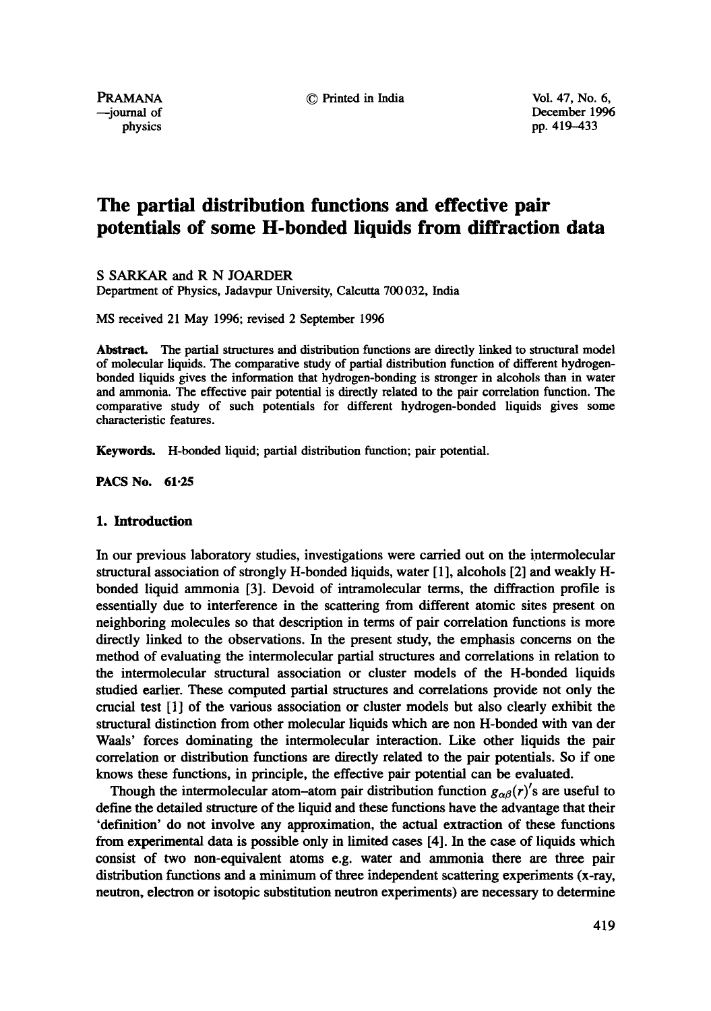--journal of December 1996<br>physics pp. 419–433 pp. 419-433

# **The partial distribution functions and effective pair potentials of some H-bonded fiquids from diffraction data**

S SARKAR and R N JOARDER

Department of Physics, Jadavpur University, Calcutta 700 032, India

MS received 21 May 1996; revised 2 September 1996

Abstract. The partial structures and distribution functions are directly linked to structural model of molecular fiquids. The comparative study of partial distribution function of different hydrogenbonded liquids gives the information that hydrogen-bonding is stronger in alcohols than in water and ammonia. The effective pair potential is directly related to the pair correlation function. The comparative study of such potentials for different hydrogen-bonded liquids gives some characteristic features.

Keywords. H-bonded liquid; partial distribution function; pair potential.

**PACS No. 61.25** 

### **1. Introduction**

In our previous laboratory studies, investigations were carried out on the intermolecular structural association of strongly H-bonded liquids, water [1], alcohols [2] and weakly Hbonded liquid ammonia [3]. Devoid of intramolecular terms, the diffraction profile is essentially due to interference in the scattering from different atomic sites present on neighboring molecules so that description in terms of pair correlation functions is more directly linked to the observations. In the present study, the emphasis concerns on the method of evaluating the intermolecular partial structures and correlations in relation to the intermolecular structural association or cluster models of the H-bonded liquids studied earlier. These computed partial structures and correlations provide not only the crucial test [1] of the various association or cluster models but also clearly exhibit the structural distinction from other molecular liquids which are non H-bonded with van der Waals' forces dominating the intermolecular interaction. Like other liquids the pair correlation or distribution functions are directly related to the pair potentials. So if one knows these functions, in principle, the effective pair potential can be evaluated.

Though the intermolecular atom-atom pair distribution function  $g_{\alpha\beta}(r)'$  are useful to define the detailed structure of the liquid and these functions have the advantage that their 'definition' do not involve any approximation, the actual extraction of these functions from experimental data is possible only in limited cases [4]. In the case of liquids which consist of two non-equivalent atoms e.g. water and ammonia there are three pair distribution functions and a minimum of three independent scattering experiments (x-ray, neutron, electron or isotopic substitution neutron experiments) are necessary to determine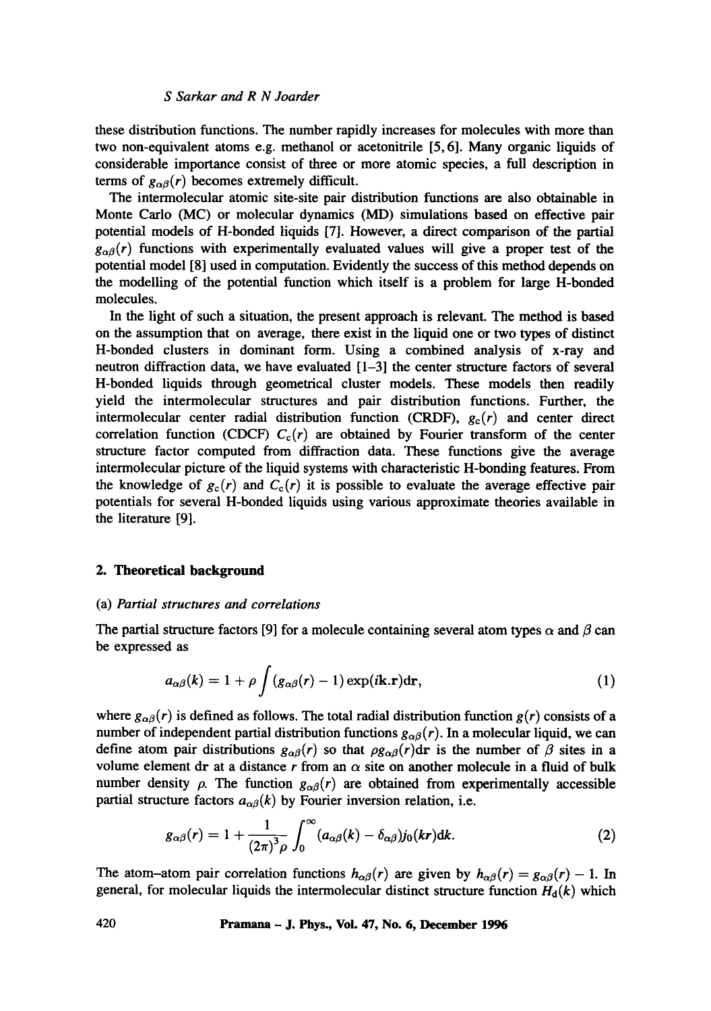these distribution functions. The number rapidly increases for molecules with more than two non-equivalent atoms e.g. methanol or acetonitrile [5, 6]. Many organic liquids of considerable importance consist of three or more atomic species, a full description in terms of  $g_{\alpha\beta}(r)$  becomes extremely difficult.

The intermolecular atomic site-site pair distribution functions are also obtainable in Monte Carlo (MC) or molecular dynamics (MD) simulations based on effective pair potential models of H-bonded liquids [7]. However, a direct comparison of the partial  $g_{\alpha\beta}(r)$  functions with experimentally evaluated values will give a proper test of the potential model [8] used in computation. Evidently the success of this method depends on the modelling of the potential function which itself is a problem for large H-bonded molecules.

In the light of such a situation, the present approach is relevant. The method is based on the assumption that on average, there exist in the liquid one or two types of distinct H-bonded clusters in dominant form. Using a combined analysis of x-ray and neutron diffraction data, we have evaluated  $[1-3]$  the center structure factors of several H-bonded liquids through geometrical cluster models. These models then readily yield the intermolecular structures and pair distribution functions. Further, the intermolecular center radial distribution function (CRDF),  $g_c(r)$  and center direct correlation function (CDCF)  $C_c(r)$  are obtained by Fourier transform of the center structure factor computed from diffraction data. These functions give the average intermolecular picture of the liquid systems with characteristic H-bonding features. From the knowledge of  $g_c(r)$  and  $C_c(r)$  it is possible to evaluate the average effective pair potentials for several H-bonded liquids using various approximate theories available in the literature [9].

### 2. Theoretical **background**

### (a) *Partial structures and correlations*

The partial structure factors [9] for a molecule containing several atom types  $\alpha$  and  $\beta$  can be expressed as

$$
a_{\alpha\beta}(k) = 1 + \rho \int (g_{\alpha\beta}(r) - 1) \exp(i\mathbf{k}.\mathbf{r}) \mathrm{d}\mathbf{r},\tag{1}
$$

where  $g_{\alpha\beta}(r)$  is defined as follows. The total radial distribution function  $g(r)$  consists of a number of independent partial distribution functions  $g_{\alpha\beta}(r)$ . In a molecular liquid, we can define atom pair distributions  $g_{\alpha\beta}(r)$  so that  $\rho g_{\alpha\beta}(r)dr$  is the number of  $\beta$  sites in a volume element dr at a distance r from an  $\alpha$  site on another molecule in a fluid of bulk number density  $\rho$ . The function  $g_{\alpha\beta}(r)$  are obtained from experimentally accessible partial structure factors  $a_{\alpha\beta}(k)$  by Fourier inversion relation, i.e.

$$
g_{\alpha\beta}(r) = 1 + \frac{1}{(2\pi)^3 \rho} \int_0^\infty (a_{\alpha\beta}(k) - \delta_{\alpha\beta}) j_0(kr) \mathrm{d}k. \tag{2}
$$

The atom-atom pair correlation functions  $h_{\alpha\beta}(r)$  are given by  $h_{\alpha\beta}(r) = g_{\alpha\beta}(r) - 1$ . In general, for molecular liquids the intermolecular distinct structure function  $H_d(k)$  which

**420 Pranmana - J. Phys., Vol. 47, No. 6, December 1996**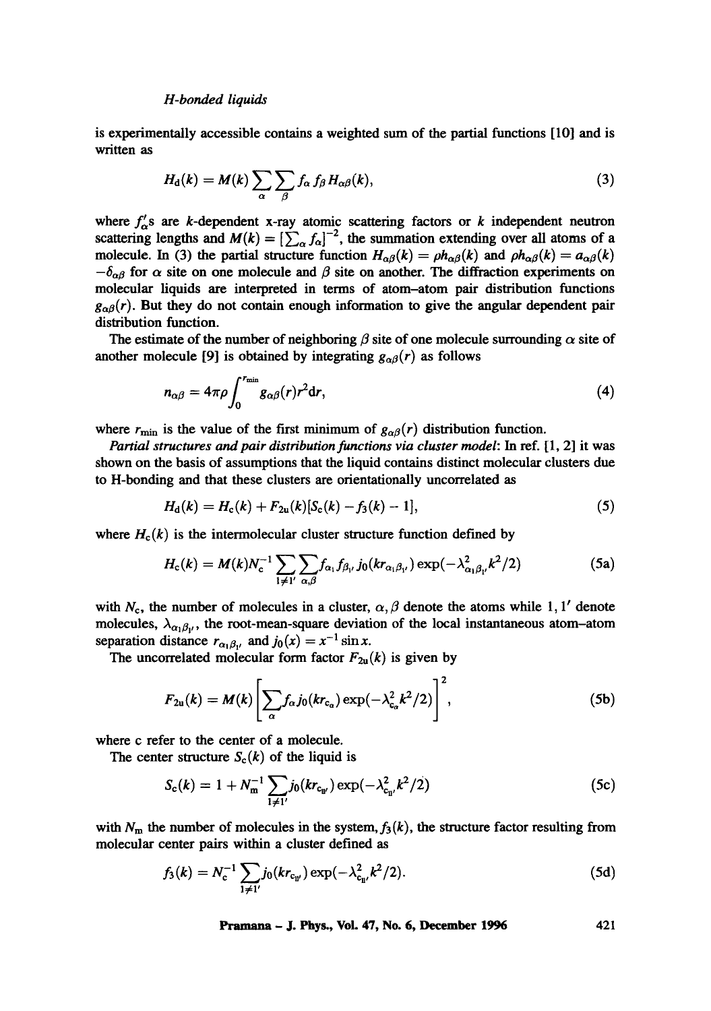is experimentally accessible contains a weighted sum of the partial functions [I0] and is written as

$$
H_{\rm d}(k) = M(k) \sum_{\alpha} \sum_{\beta} f_{\alpha} f_{\beta} H_{\alpha\beta}(k), \qquad (3)
$$

where  $f'_{\alpha}$ s are k-dependent x-ray atomic scattering factors or k independent neutron scattering lengths and  $M(k) = [\sum_{\alpha} f_{\alpha}]^{-2}$ , the summation extending over all atoms of a molecule. In (3) the partial structure function  $H_{\alpha\beta}(k) = \rho h_{\alpha\beta}(k)$  and  $\rho h_{\alpha\beta}(k) = a_{\alpha\beta}(k)$  $-\delta_{\alpha\beta}$  for  $\alpha$  site on one molecule and  $\beta$  site on another. The diffraction experiments on molecular liquids are interpreted in terms of atom-atom pair distribution functions  $g_{\alpha\beta}(r)$ . But they do not contain enough information to give the angular dependent pair distribution function.

The estimate of the number of neighboring  $\beta$  site of one molecule surrounding  $\alpha$  site of another molecule [9] is obtained by integrating  $g_{\alpha\beta}(r)$  as follows

$$
n_{\alpha\beta} = 4\pi\rho \int_0^{r_{\min}} g_{\alpha\beta}(r) r^2 dr,\tag{4}
$$

where  $r_{\min}$  is the value of the first minimum of  $g_{\alpha\beta}(r)$  distribution function.

*Partial structures and pair distribution functions via cluster model:* In ref. [1, 2] it was shown on the basis of assumptions that the liquid contains distinct molecular clusters due to H-bonding and that these clusters are orientationally uncorrelated as

$$
H_{\rm d}(k) = H_{\rm c}(k) + F_{\rm 2u}(k)[S_{\rm c}(k) - f_{\rm 3}(k) - 1], \qquad (5)
$$

where  $H_c(k)$  is the intermolecular cluster structure function defined by

$$
H_{\rm c}(k) = M(k)N_{\rm c}^{-1}\sum_{i\neq 1'}\sum_{\alpha,\beta}f_{\alpha_i}f_{\beta_{i'}}j_0(kr_{\alpha_i\beta_{i'}})\exp(-\lambda_{\alpha_i\beta_{i'}}^2k^2/2)
$$
 (5a)

with  $N_c$ , the number of molecules in a cluster,  $\alpha, \beta$  denote the atoms while 1, 1' denote molecules,  $\lambda_{\alpha_1\beta_1}$ , the root-mean-square deviation of the local instantaneous atom-atom separation distance  $r_{\alpha_1\beta_1}$ , and  $j_0(x) = x^{-1} \sin x$ .

The uncorrelated molecular form factor  $F_{2u}(k)$  is given by

$$
F_{2u}(k) = M(k) \left[ \sum_{\alpha} f_{\alpha} j_0(kr_{c_{\alpha}}) \exp(-\lambda_{c_{\alpha}}^2 k^2/2) \right]^2, \qquad (5b)
$$

where c refer to the center of a molecule.

The center structure  $S_c(k)$  of the liquid is

$$
S_{\rm c}(k) = 1 + N_{\rm m}^{-1} \sum_{1 \neq 1'} j_0(kr_{c_{\rm n'}}) \exp(-\lambda_{c_{\rm n'}}^2 k^2/2)
$$
 (5c)

with  $N_{\rm m}$  the number of molecules in the system,  $f_3(k)$ , the structure factor resulting from molecular center pairs within a cluster defined as

$$
f_3(k) = N_c^{-1} \sum_{1 \neq 1'} j_0(kr_{c_{1'}}) \exp(-\lambda_{c_{1'}}^2 k^2/2).
$$
 (5d)

**Pramana - J. Phys., Vol. 47, No. 6, December 1996 421**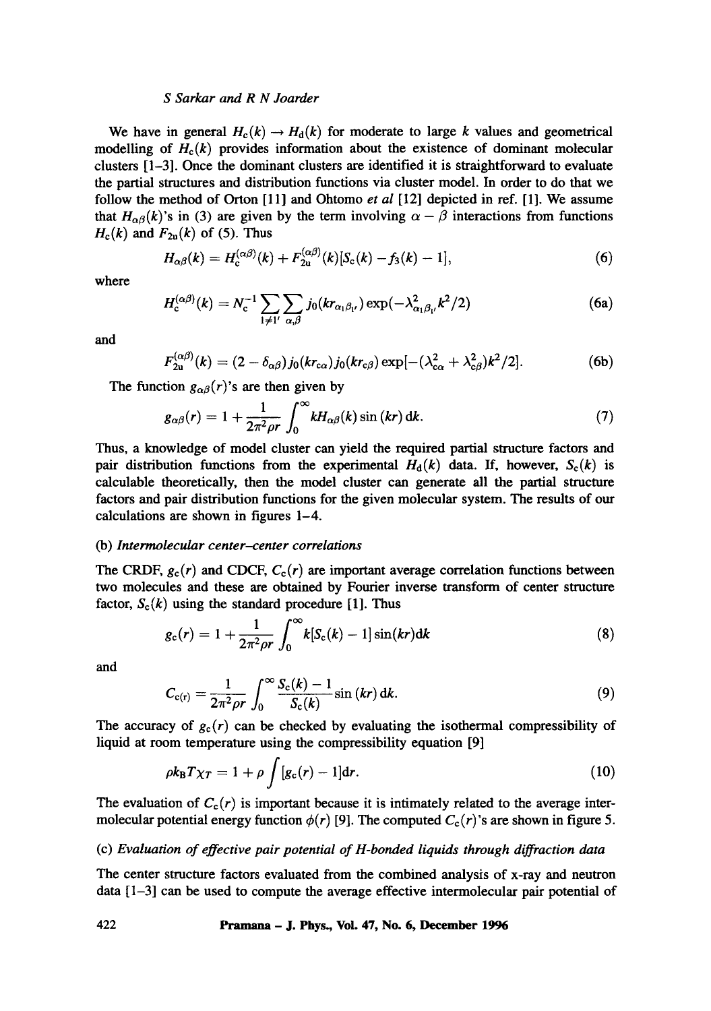We have in general  $H_c(k) \to H_d(k)$  for moderate to large k values and geometrical modelling of  $H_c(k)$  provides information about the existence of dominant molecular clusters [1-3]. Once the dominant clusters are identified it is straightforward to evaluate the partial structures and distribution functions via cluster model. In order to do that we follow the method of Orton [11] and Ohtomo *et al* [12] depicted in ref. [1]. We assume that  $H_{\alpha\beta}(k)$ 's in (3) are given by the term involving  $\alpha - \beta$  interactions from functions  $H_c(k)$  and  $F_{2u}(k)$  of (5). Thus

$$
H_{\alpha\beta}(k) = H_{\rm c}^{(\alpha\beta)}(k) + F_{2u}^{(\alpha\beta)}(k)[S_{\rm c}(k) - f_3(k) - 1],\tag{6}
$$

where

$$
H_c^{(\alpha\beta)}(k) = N_c^{-1} \sum_{l \neq 1'} \sum_{\alpha,\beta} j_0(kr_{\alpha_1\beta_{l'}}) \exp(-\lambda_{\alpha_1\beta_{l'}}^2 k^2/2)
$$
 (6a)

and

$$
F_{2u}^{(\alpha\beta)}(k)=(2-\delta_{\alpha\beta})j_0(kr_{c\alpha})j_0(kr_{c\beta})\exp[-(\lambda_{c\alpha}^2+\lambda_{c\beta}^2)k^2/2].
$$
 (6b)

The function  $g_{\alpha\beta}(r)$ 's are then given by

$$
g_{\alpha\beta}(r) = 1 + \frac{1}{2\pi^2 \rho r} \int_0^\infty k H_{\alpha\beta}(k) \sin(kr) \, \mathrm{d}k. \tag{7}
$$

Thus, a knowledge of model cluster can yield the required partial structure factors and pair distribution functions from the experimental  $H_d(k)$  data. If, however,  $S_c(k)$  is calculable theoretically, then the model cluster can generate all the partial structure factors and pair distribution functions for the given molecular system. The results of our calculations are shown in figures 1-4.

### *(b) lntermolecular center-center correlations*

The CRDF,  $g_c(r)$  and CDCF,  $C_c(r)$  are important average correlation functions between two molecules and these are obtained by Fourier inverse transform of center structure factor,  $S_c(k)$  using the standard procedure [1]. Thus

$$
g_{\rm c}(r) = 1 + \frac{1}{2\pi^2 \rho r} \int_0^\infty k[S_{\rm c}(k) - 1] \sin(kr) \mathrm{d}k \tag{8}
$$

and

$$
C_{c(r)} = \frac{1}{2\pi^2 \rho r} \int_0^\infty \frac{S_c(k) - 1}{S_c(k)} \sin(kr) \, dk. \tag{9}
$$

The accuracy of  $g_c(r)$  can be checked by evaluating the isothermal compressibility of liquid at room temperature using the compressibility equation [9]

$$
\rho k_{\rm B} T \chi_T = 1 + \rho \int [g_{\rm c}(r) - 1] \mathrm{d} r. \tag{10}
$$

The evaluation of  $C_c(r)$  is important because it is intimately related to the average intermolecular potential energy function  $\phi(r)$  [9]. The computed  $C_c(r)$ 's are shown in figure 5.

### (c) *Evaluation of effective pair potential of H-bonded liquids through diffraction data*

The center structure factors evaluated from the combined analysis of x-ray and neutron data  $[1-3]$  can be used to compute the average effective intermolecular pair potential of

### **422 Pramana - J. Phys., Vol. 47, No. 6, December 1996**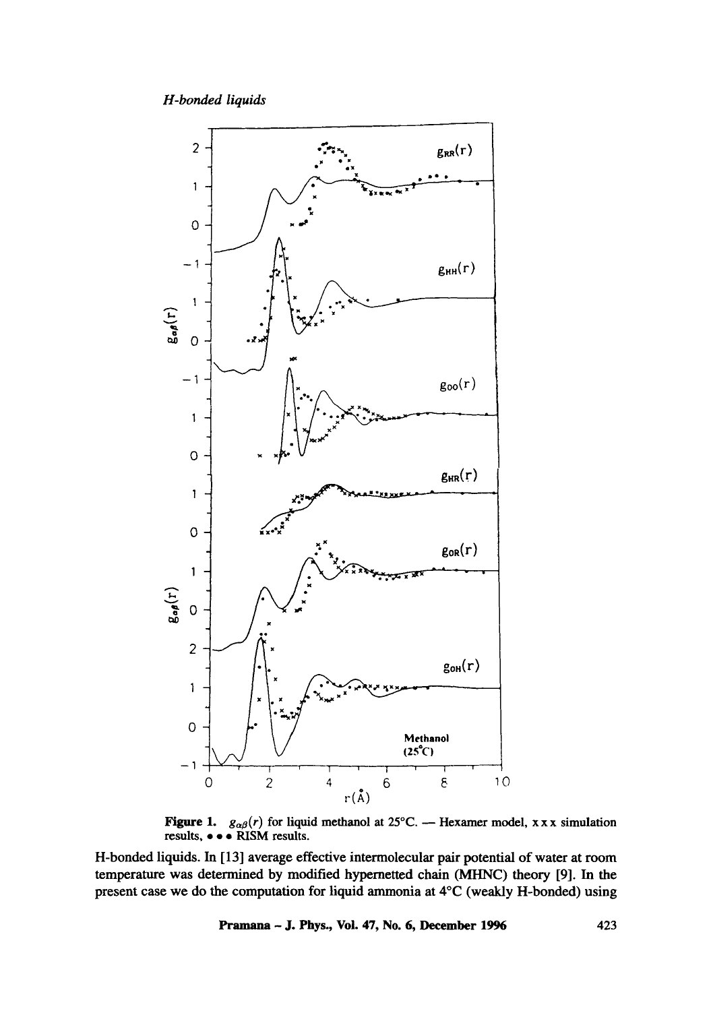

**Figure 1.**  $g_{\alpha\beta}(r)$  for liquid methanol at 25°C. -- Hexamer model,  $x \times x$  simulation results, • • • RISM results.

H-bonded liquids. In [13] average effective interrnolecular pair potential of water at room temperature was determined by modified hypernetted chain (MHNC) theory [9]. In the present case we do the computation for liquid ammonia at 4°C (weakly H-bonded) using

Pramana - J. Phys., Voi. 47, No. 6, December 1996 423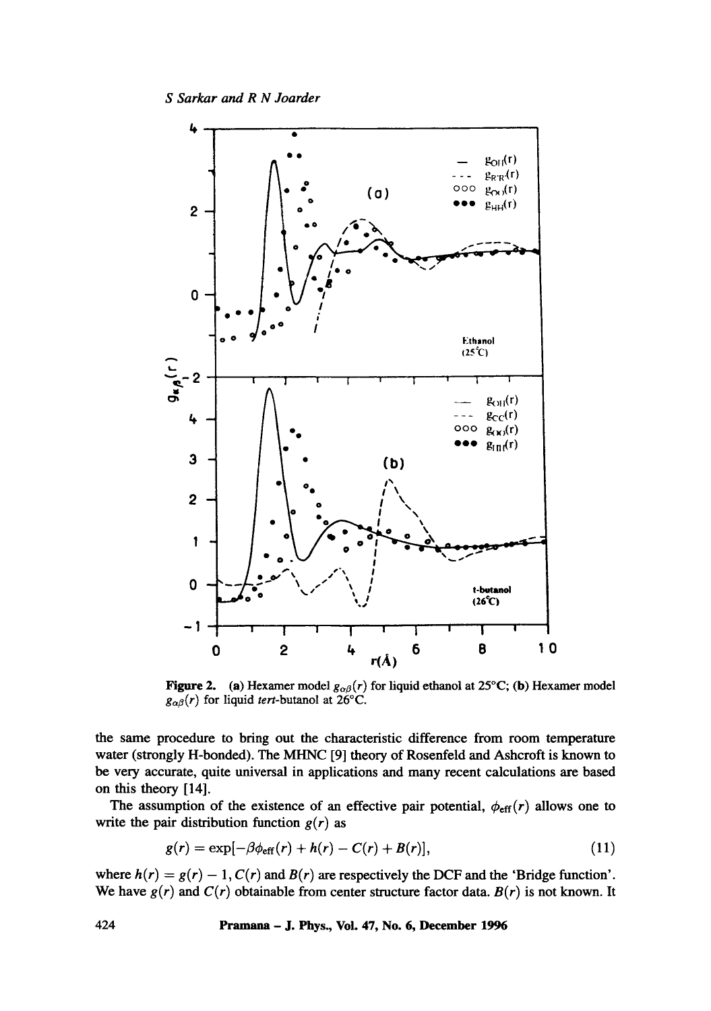

Figure 2. (a) Hexamer model  $g_{\alpha\beta}(r)$  for liquid ethanol at 25°C; (b) Hexamer model  $g_{\alpha\beta}(r)$  for liquid tert-butanol at 26°C.

the same procedure to bring out the characteristic difference from room temperature water (strongly H-bonded). The MHNC [9] theory of Rosenfeld and Ashcroft is known to be very accurate, quite universal in applications and many recent calculations are based on this theory [14].

The assumption of the existence of an effective pair potential,  $\phi_{\text{eff}}(r)$  allows one to write the pair distribution function  $g(r)$  as

$$
g(r) = \exp[-\beta\phi_{\rm eff}(r) + h(r) - C(r) + B(r)], \qquad (11)
$$

where  $h(r) = g(r) - 1$ ,  $C(r)$  and  $B(r)$  are respectively the DCF and the 'Bridge function'. We have  $g(r)$  and  $C(r)$  obtainable from center structure factor data.  $B(r)$  is not known. It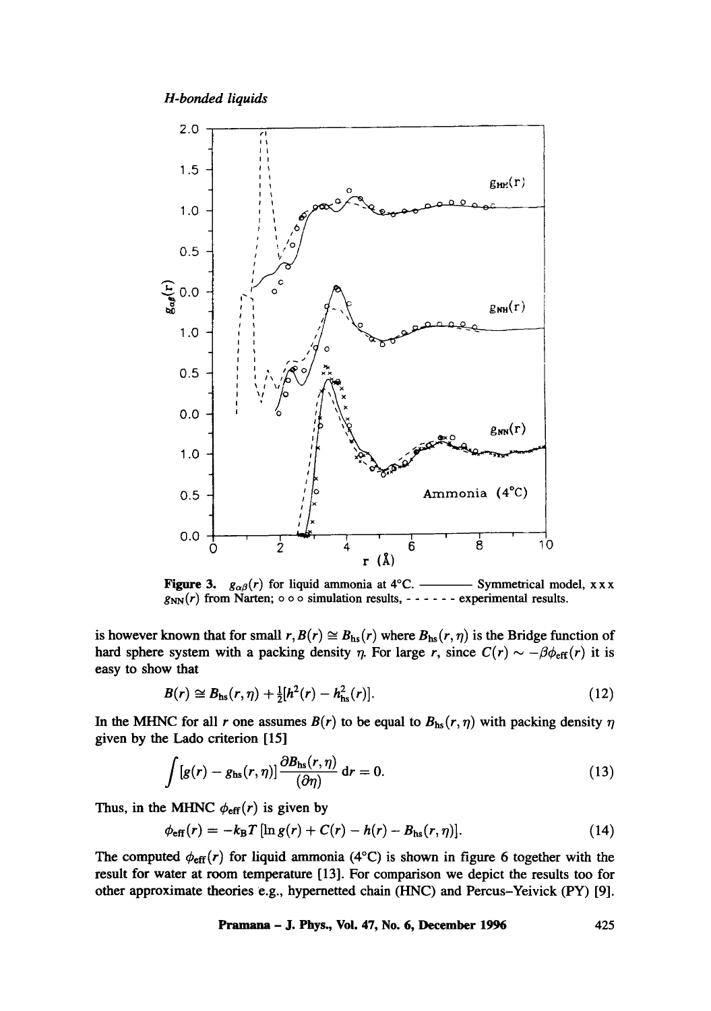

**Figure 3.**  $g_{\alpha\beta}(r)$  for liquid ammonia at 4°C. ——————— Symmetrical model, xxx  $g_{NN}(r)$  from Narten;  $\circ \circ \circ$  simulation results,  $\cdot \cdot \cdot \cdot$  - experimental results.

is however known that for small  $r, B(r) \cong B_{hs}(r)$  where  $B_{hs}(r, \eta)$  is the Bridge function of hard sphere system with a packing density  $\eta$ . For large r, since  $C(r) \sim -\beta \phi_{\text{eff}}(r)$  it is easy to show that

$$
B(r) \cong B_{\rm hs}(r,\eta) + \frac{1}{2}[h^2(r) - h_{\rm hs}^2(r)]. \tag{12}
$$

In the MHNC for all r one assumes  $B(r)$  to be equal to  $B_{\text{hs}}(r, \eta)$  with packing density  $\eta$ given by the Lado criterion [15]

$$
\int [g(r) - g_{\rm hs}(r,\eta)] \frac{\partial B_{\rm hs}(r,\eta)}{(\partial \eta)} \, \mathrm{d}r = 0. \tag{13}
$$

Thus, in the MHNC  $\phi_{\text{eff}}(r)$  is given by

$$
\phi_{\text{eff}}(r) = -k_{\text{B}}T[\ln g(r) + C(r) - h(r) - B_{\text{hs}}(r,\eta)]. \qquad (14)
$$

The computed  $\phi_{\text{eff}}(r)$  for liquid ammonia (4°C) is shown in figure 6 together with the result for water at room temperature [13]. For comparison we depict the results too for other approximate theories e.g., hypernetted chain (HNC) and Percus-Yeivick (PY) [9].

**Pramana - J. Phys., Vol. 47, No. 6, December 1996 425**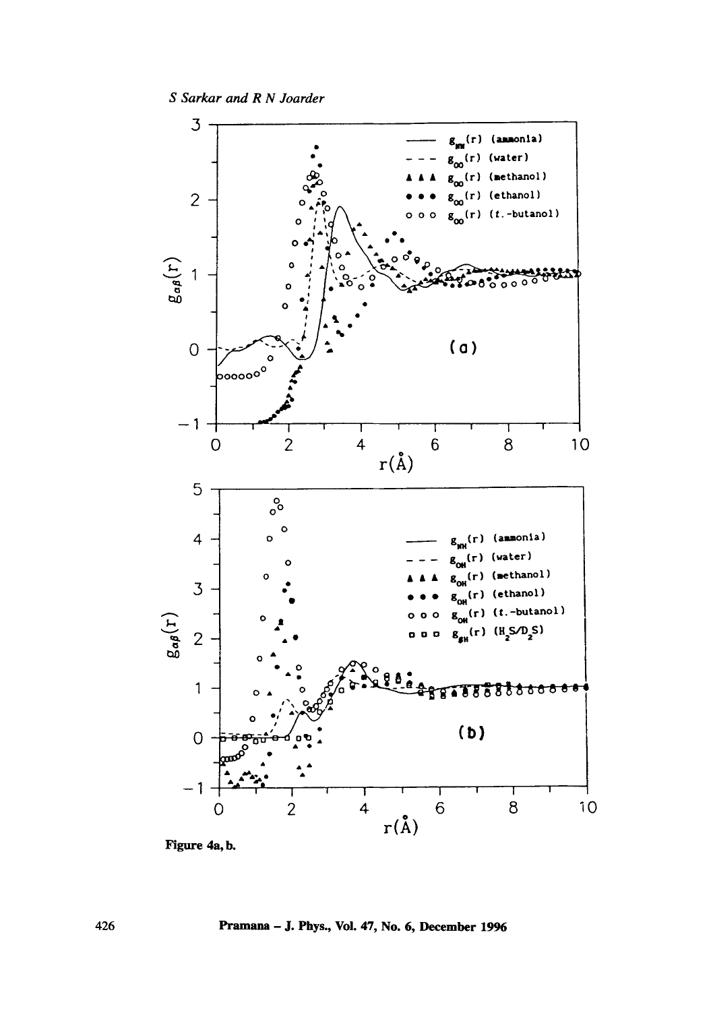

Figure 4a, b.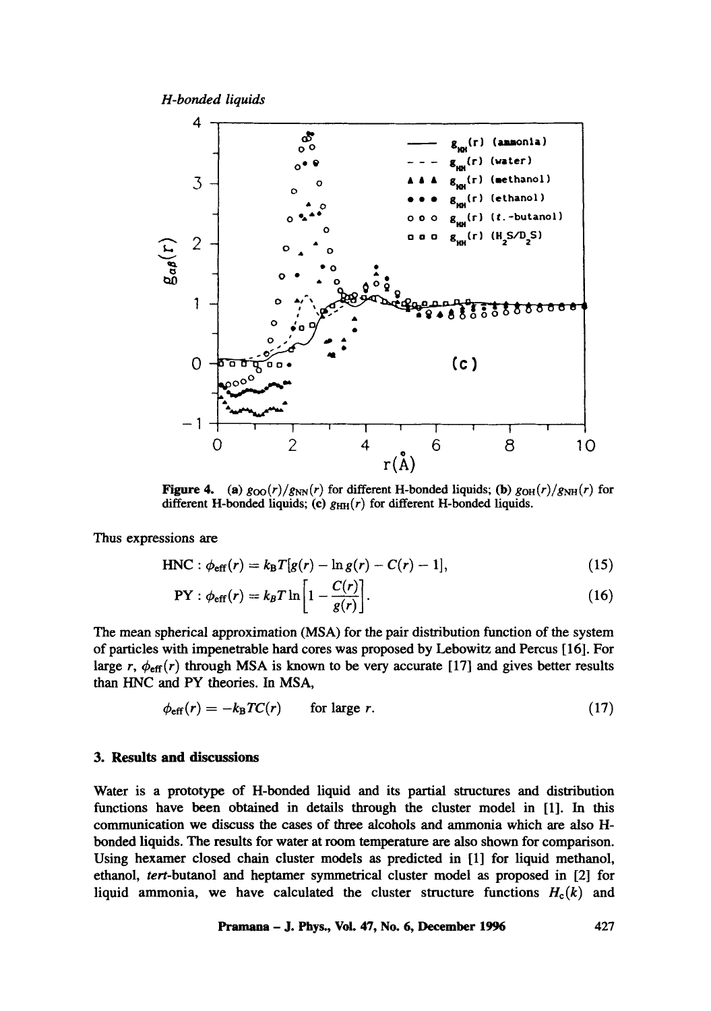

Figure 4. (a)  $g_{OO}(r)/g_{NN}(r)$  for different H-bonded liquids; (b)  $g_{OH}(r)/g_{NH}(r)$  for different H-bonded liquids; (c)  $g_{HH}(r)$  for different H-bonded liquids.

Thus expressions are

$$
HNC: \phi_{eff}(r) = k_B T[g(r) - \ln g(r) - C(r) - 1],
$$
\n(15)

$$
PY: \phi_{eff}(r) = k_B T \ln \left[ 1 - \frac{C(r)}{g(r)} \right]. \tag{16}
$$

The mean spherical approximation (MSA) for the pair distribution function of the system of particles with impenetrable hard cores was proposed by Lebowitz and Percus [16]. For large r,  $\phi_{\text{eff}}(r)$  through MSA is known to be very accurate [17] and gives better results than HNC and PY theories. In MSA,

$$
\phi_{\rm eff}(r) = -k_{\rm B}TC(r) \qquad \text{for large } r. \tag{17}
$$

# **3. Results and discussions**

Water is a prototype of H-bonded liquid and its partial structures and distribution functions have been obtained in details through the cluster model in [1]. In this communication we discuss the cases of three alcohols and ammonia which are also Hbonded liquids. The results for water at room temperature are also shown for comparison. Using hexamer closed chain cluster models as predicted in [1] for liquid methanol, ethanol, tert-butanol and heptamer symmetrical cluster model as proposed in [2] for liquid ammonia, we have calculated the cluster structure functions  $H_c(k)$  and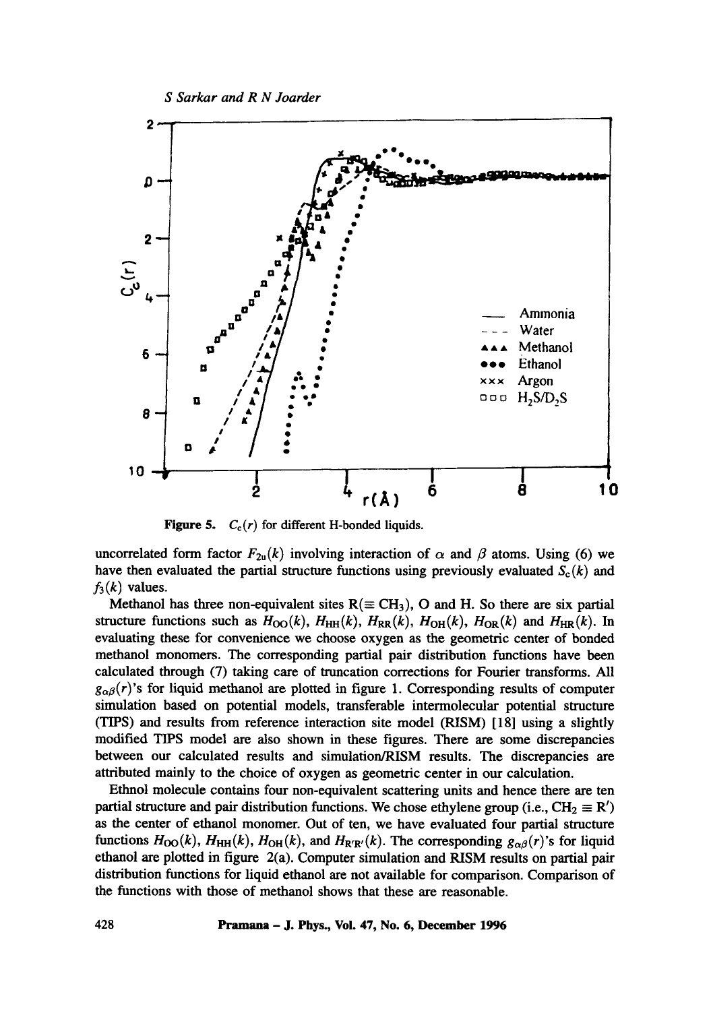

**Figure 5.**  $C_c(r)$  for different H-bonded liquids.

uncorrelated form factor  $F_{2u}(k)$  involving interaction of  $\alpha$  and  $\beta$  atoms. Using (6) we have then evaluated the partial structure functions using previously evaluated  $S_c(k)$  and  $f_3(k)$  values.

Methanol has three non-equivalent sites  $R(\equiv CH_3)$ , O and H. So there are six partial structure functions such as  $H_{OO}(k)$ ,  $H_{HH}(k)$ ,  $H_{RR}(k)$ ,  $H_{OH}(k)$ ,  $H_{OR}(k)$  and  $H_{HR}(k)$ . In evaluating these for convenience we choose oxygen as the geometric center of bonded methanol monomers. The corresponding partial pair distribution functions have been calculated through (7) taking care of truncation corrections for Fourier transforms. All  $g_{\alpha\beta}(r)$ 's for liquid methanol are plotted in figure 1. Corresponding results of computer simulation based on potential models, transferable intermolecular potential structure (TIPS) and results from reference interaction site model (RISM) [18] using a slightly modified TIPS model are also shown in these figures. There are some discrepancies between our calculated results and simulation/RISM results. The discrepancies are attributed mainly to the choice of oxygen as geometric center in our calculation.

Ethnol molecule contains four non-equivalent scattering units and hence there are ten partial structure and pair distribution functions. We chose ethylene group (i.e.,  $CH_2 \equiv R'$ ) as the center of ethanol monomer. Out of ten, we have evaluated four partial structure functions  $H_{OO}(k)$ ,  $H_{HH}(k)$ ,  $H_{OH}(k)$ , and  $H_{R'R'}(k)$ . The corresponding  $g_{\alpha\beta}(r)$ 's for liquid ethanol are plotted in figure 2(a). Computer simulation and RISM results on partial pair distribution functions for liquid ethanol are not available for comparison. Comparison of the functions with those of methanol shows that these are reasonable.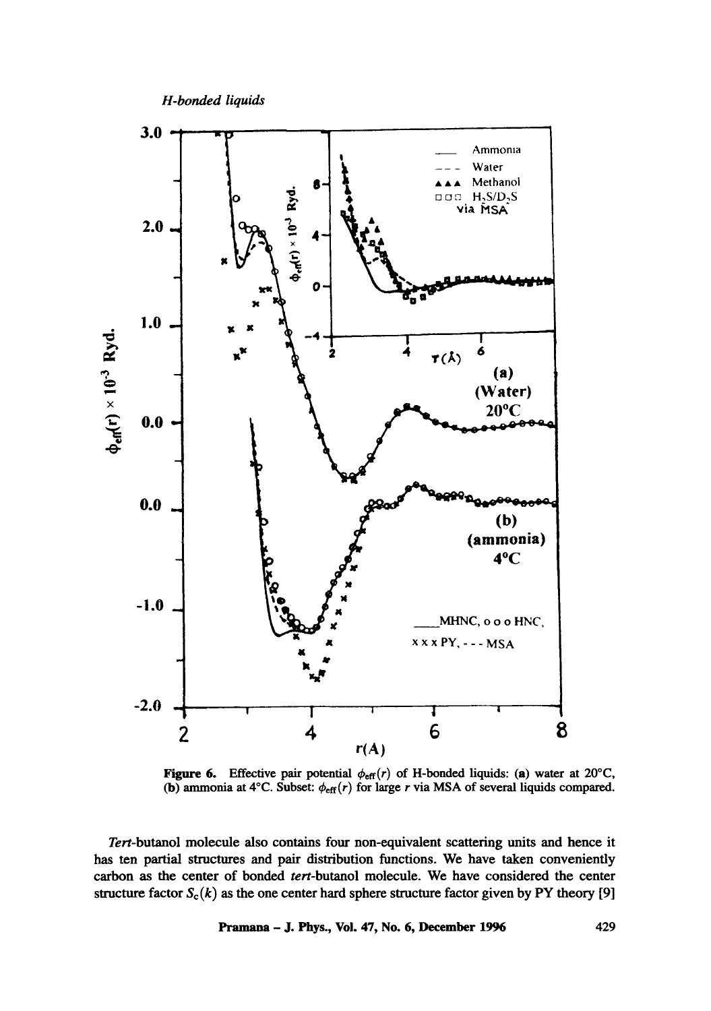

Figure 6. Effective pair potential  $\phi_{\text{eff}}(r)$  of H-bonded liquids: (a) water at 20°C, (b) ammonia at 4°C. Subset:  $\phi_{\text{eff}}(r)$  for large r via MSA of several liquids compared.

Tert-butanol molecule also contains four non-equivalent scattering units and hence it has ten partial structures and pair distribution functions. We have taken conveniently carbon as the center of bonded tert-butanol molecule. We have considered the center structure factor  $S_c(k)$  as the one center hard sphere structure factor given by PY theory [9]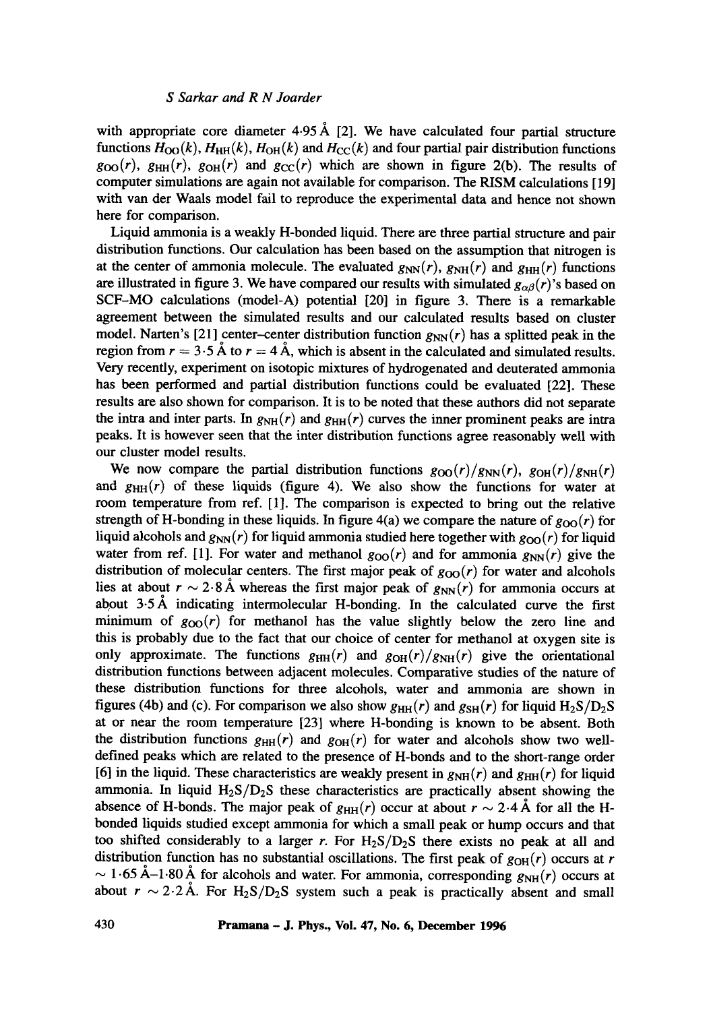with appropriate core diameter  $4.95 \text{ Å}$  [2]. We have calculated four partial structure functions  $H_{\text{OO}}(k)$ ,  $H_{\text{HH}}(k)$ ,  $H_{\text{OH}}(k)$  and  $H_{\text{CC}}(k)$  and four partial pair distribution functions  $g_{\text{OO}}(r)$ ,  $g_{\text{HH}}(r)$ ,  $g_{\text{OH}}(r)$  and  $g_{\text{CC}}(r)$  which are shown in figure 2(b). The results of computer simulations are again not available for comparison. The RISM calculations [19] with van der Waals model fail to reproduce the experimental data and hence not shown here for comparison.

Liquid ammonia is a weakly H-bonded liquid. There are three partial structure and pair distribution functions. Our calculation has been based on the assumption that nitrogen is at the center of ammonia molecule. The evaluated  $g_{NN}(r)$ ,  $g_{NH}(r)$  and  $g_{HH}(r)$  functions are illustrated in figure 3. We have compared our results with simulated  $g_{\alpha\beta}(r)$ 's based on SCF-MO calculations (model-A) potential [20] in figure 3. There is a remarkable agreement between the simulated results and our calculated results based on cluster model. Narten's [21] center-center distribution function  $g_{NN}(r)$  has a splitted peak in the region from  $r = 3.5 \text{ Å}$  to  $r = 4 \text{ Å}$ , which is absent in the calculated and simulated results. Very recently, experiment on isotopic mixtures of hydrogenated and deuterated ammonia has been performed and partial distribution functions could be evaluated [22]. These results are also shown for comparison. It is to be noted that these authors did not separate the intra and inter parts. In  $g_{NH}(r)$  and  $g_{HH}(r)$  curves the inner prominent peaks are intra peaks. It is however seen that the inter distribution functions agree reasonably well with our cluster model results.

We now compare the partial distribution functions  $g_{OO}(r)/g_{NN}(r)$ ,  $g_{OH}(r)/g_{NH}(r)$ and  $g_{HH}(r)$  of these liquids (figure 4). We also show the functions for water at room temperature from ref. [1]. The comparison is expected to bring out the relative strength of H-bonding in these liquids. In figure 4(a) we compare the nature of  $g_{\text{OO}}(r)$  for liquid alcohols and  $g_{NN}(r)$  for liquid ammonia studied here together with  $g_{OO}(r)$  for liquid water from ref. [1]. For water and methanol  $g_{OO}(r)$  and for ammonia  $g_{NN}(r)$  give the distribution of molecular centers. The first major peak of  $g_{OO}(r)$  for water and alcohols lies at about  $r \sim 2.8\text{ Å}$  whereas the first major peak of  $g_{NN}(r)$  for ammonia occurs at about 3.5 Å indicating intermolecular H-bonding. In the calculated curve the first minimum of  $g_{OO}(r)$  for methanol has the value slightly below the zero line and this is probably due to the fact that our choice of center for methanol at oxygen site is only approximate. The functions  $g_{HH}(r)$  and  $g_{OH}(r)/g_{NH}(r)$  give the orientational distribution functions between adjacent molecules. Comparative studies of the nature of these distribution functions for three alcohols, water and ammonia are shown in figures (4b) and (c). For comparison we also show  $g_{HH}(r)$  and  $g_{SH}(r)$  for liquid  $H_2S/D_2S$ at or near the room temperature [23] where H-bonding is known to be absent. Both the distribution functions  $g_{HH}(r)$  and  $g_{OH}(r)$  for water and alcohols show two welldefined peaks which are related to the presence of H-bonds and to the short-range order [6] in the liquid. These characteristics are weakly present in  $g_{NH}(r)$  and  $g_{HH}(r)$  for liquid ammonia. In liquid  $H_2S/D_2S$  these characteristics are practically absent showing the absence of H-bonds. The major peak of  $g_{HH}(r)$  occur at about  $r \sim 2.4$  Å for all the Hbonded liquids studied except ammonia for which a small peak or hump occurs and that too shifted considerably to a larger r. For  $H_2S/D_2S$  there exists no peak at all and distribution function has no substantial oscillations. The first peak of  $g_{OH}(r)$  occurs at r  $\sim 1.65$  Å-1.80 Å for alcohols and water. For ammonia, corresponding  $g_{NH}(r)$  occurs at about  $r \sim 2.2~\text{\AA}$ . For H<sub>2</sub>S/D<sub>2</sub>S system such a peak is practically absent and small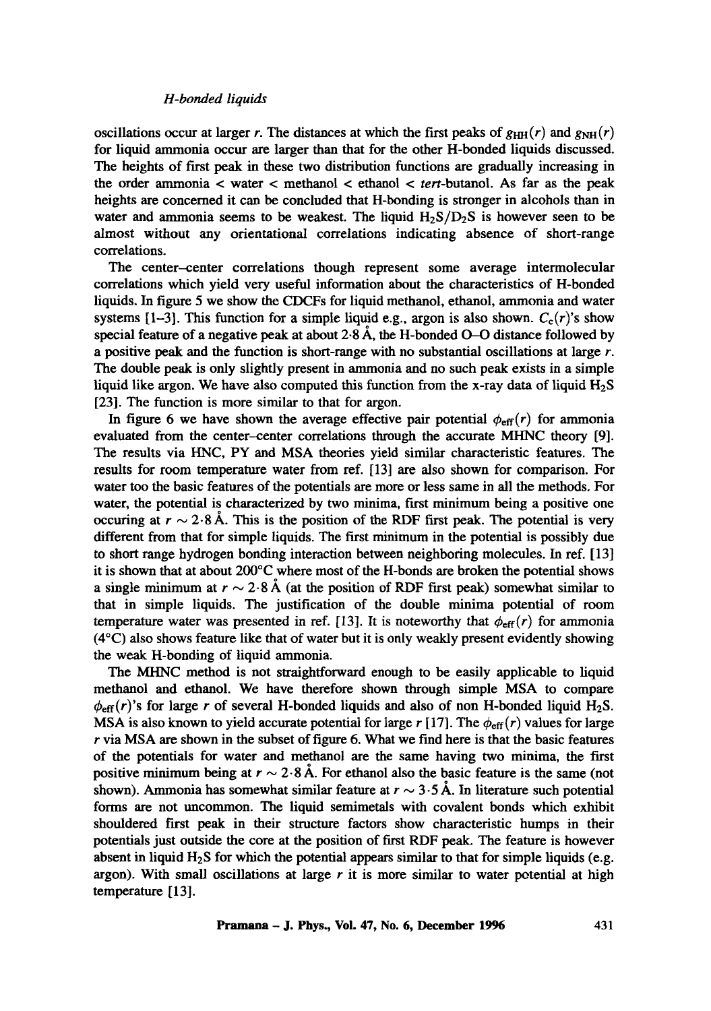oscillations occur at larger r. The distances at which the first peaks of  $g_{HH}(r)$  and  $g_{NH}(r)$ for liquid ammonia occur are larger than that for the other H-bonded liquids discussed. The heights of first peak in these two distribution functions are gradually increasing in the order ammonia  $\lt$  water  $\lt$  methanol  $\lt$  ethanol  $\lt$  *tert*-butanol. As far as the peak heights are concerned it can be concluded that H-bonding is stronger in alcohols than in water and ammonia seems to be weakest. The liquid  $H_2S/D_2S$  is however seen to be almost without any orientational correlations indicating absence of short-range correlations.

The center-center correlations though represent some average intermolecular correlations which yield very useful information about the characteristics of H-bonded liquids. In figure 5 we show the CDCFs for liquid methanol, ethanol, ammonia and water systems [1-3]. This function for a simple liquid e.g., argon is also shown.  $C_c(r)$ 's show special feature of a negative peak at about  $2.8~\text{\AA}$ , the H-bonded O-O distance followed by a positive peak and the function is short-range with no substantial oscillations at large  $r$ . The double peak is only slightly present in ammonia and no such peak exists in a simple liquid like argon. We have also computed this function from the x-ray data of liquid  $H_2S$ [23]. The function is more similar to that for argon.

In figure 6 we have shown the average effective pair potential  $\phi_{\text{eff}}(r)$  for ammonia evaluated from the center-center correlations through the accurate MHNC theory [9]. The results via HNC, PY and MSA theories yield similar characteristic features. The results for room temperature water from ref. [13] are also shown for comparison. For water too the basic features of the potentials are more or less same in all the methods. For water, the potential is characterized by two minima, first minimum being a positive one occuring at  $r \sim 2.8$  Å. This is the position of the RDF first peak. The potential is very different from that for simple liquids. The first minimum in the potential is possibly due to short range hydrogen bonding interaction between neighboring molecules. In ref. [13] it is shown that at about 200°C where most of the H-bonds are broken the potential shows a single minimum at  $r \sim 2.8$  Å (at the position of RDF first peak) somewhat similar to that in simple liquids. The justification of the double minima potential of room temperature water was presented in ref. [13]. It is noteworthy that  $\phi_{\text{eff}}(r)$  for ammonia (4°C) also shows feature like that of water but it is only weakly present evidently showing the weak H-bonding of liquid ammonia.

The MHNC method is not straightforward enough to be easily applicable to liquid methanol and ethanol. We have therefore shown through simple MSA to compare  $\phi_{\text{eff}}(r)$ 's for large r of several H-bonded liquids and also of non H-bonded liquid H<sub>2</sub>S. MSA is also known to yield accurate potential for large r [17]. The  $\phi_{eff}(r)$  values for large  $r$  via MSA are shown in the subset of figure 6. What we find here is that the basic features of the potentials for water and methanol are the same having two minima, the first positive minimum being at  $r \sim 2.8$  Å. For ethanol also the basic feature is the same (not shown). Ammonia has somewhat similar feature at  $r \sim 3.5$  Å. In literature such potential forms are not uncommon. The liquid semimetals with covalent bonds which exhibit shouldered first peak in their structure factors show characteristic humps in their potentials just outside the core at the position of first RDF peak. The feature is however absent in liquid  $H_2S$  for which the potential appears similar to that for simple liquids (e.g. argon). With small oscillations at large  $r$  it is more similar to water potential at high temperature [13].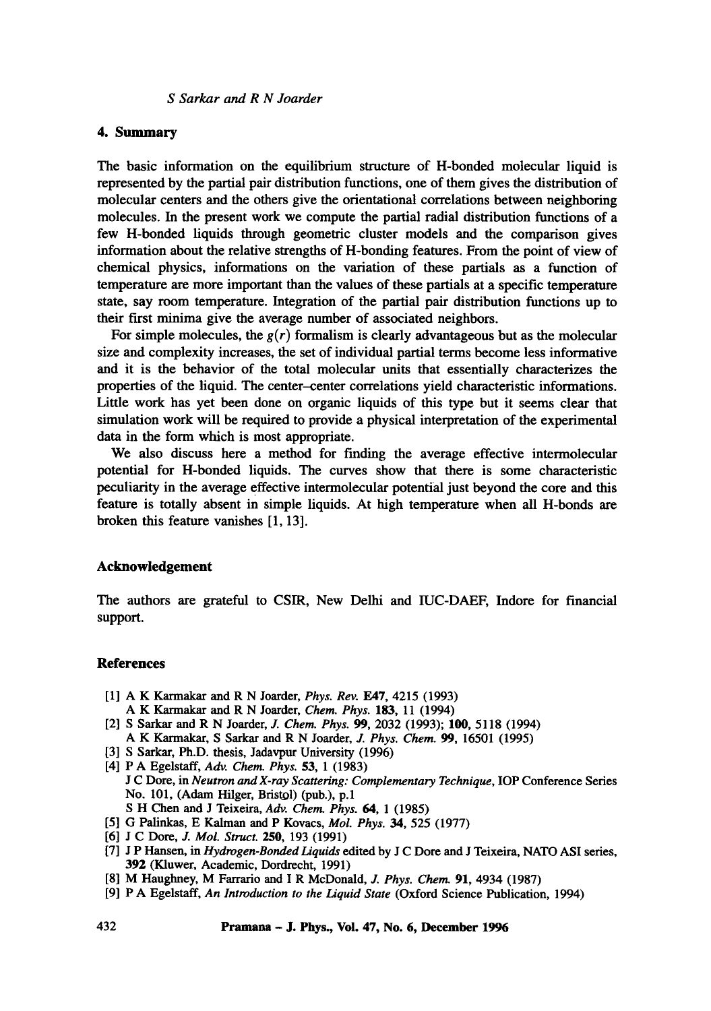# **4. Summary**

The basic information on the equilibrium structure of H-bonded molecular liquid is represented by the partial pair distribution functions, one of them gives the distribution of molecular centers and the others give the orientational correlations between neighboring molecules. In the present work we compute the partial radial distribution functions of a few H-bonded liquids through geometric cluster models and the comparison gives information about the relative strengths of H-bonding features. From the point of view of chemical physics, informations on the variation of these partials as a function of temperature are more important than the values of these partials at a specific temperature state, say room temperature. Integration of the partial pair distribution functions up to their first minima give the average number of associated neighbors.

For simple molecules, the  $g(r)$  formalism is clearly advantageous but as the molecular size and complexity increases, the set of individual partial terms become less informative and it is the behavior of the total molecular units that essentially characterizes the properties of the liquid. The center-center correlations yield characteristic informations. Little work has yet been done on organic liquids of this type but it seems clear that simulation work will be required to provide a physical interpretation of the experimental data in the form which is most appropriate.

We also discuss here a method for finding the average effective intermolecular potential for H-bonded liquids. The curves show that there is some characteristic peculiarity in the average effective intermolecular potential just beyond the core and this feature is totally absent in simple liquids. At high temperature when all H-bonds are broken this feature vanishes [1, 13].

# **Acknowledgement**

The authors are grateful to CSIR, New Delhi and IUC-DAEF, Indore for financial support.

### **References**

- [1] A K Karmakar and R N Joarder, *Phys. Rev.* E47, 4215 (1993) A K Karmakar and R N Joarder, *Chem. Phys.* 183, 11 (1994)
- [2] S Sarkar and R N Joarder, *J. Chem. Phys. 99,* 2032 (1993); 100, 5118 (1994) A K Karmakar, S Sarkar and R N Joarder, J. *Phys. Chem. 99,* 16501 (1995)
- [3] S Sarkar, Ph.D. thesis, Jadavpur University (1996)
- [4] P A Egelstaff, *Adv. Chem. Phys.* 53, 1 (1983) J C Dore, in *Neutron and X-ray Scattering: Complementary Technique,* lOP Conference Series No. 101, (Adam Hilger, Bristol) (pub.), p.1 S H Chen and J Teixeira, *Adv. Chem. Phys.* 64, 1 (1985)
- [5] G Palinkas, E Kalman and P Kovacs, *Mol. Phys. 34,* 525 (1977)
- [6] J C Dote, J. *MoL Struct.* 250, 193 (1991)
- [7] J P Hansen, in *Hydrogen-Bonded Liquids* edited by J C Dore and J Teixeira, NATO ASI series, **392** (Kluwer, Academic, Dordrecht, 1991)
- [8] M Hauglmey, M Farrario and I R McDonald, *J. Phys. Chem.* 91, 4934 (1987)
- [9] P A Egelstaff, *An Introduction to the Liquid State* (Oxford Science Publication, 1994)